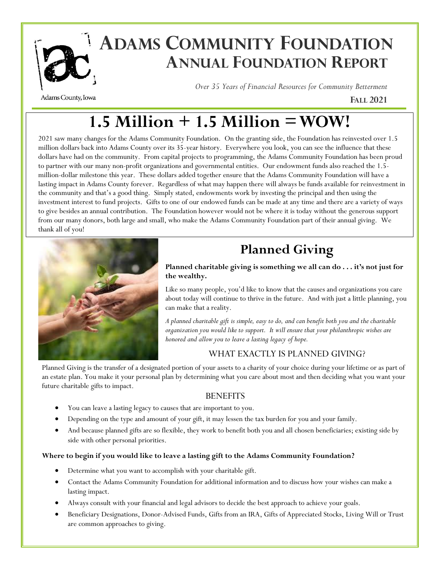

# **EARTLE ADAMS COMMUNITY FOUNDATION ANNUAL FOUNDATION REPORT**

Adams County, Iowa

*Over 35 Years of Financial Resources for Community Betterment*

**FALL 2021**

# **1.5 Million + 1.5 Million = WOW!**

2021 saw many changes for the Adams Community Foundation. On the granting side, the Foundation has reinvested over 1.5 million dollars back into Adams County over its 35-year history. Everywhere you look, you can see the influence that these dollars have had on the community. From capital projects to programming, the Adams Community Foundation has been proud to partner with our many non-profit organizations and governmental entities. Our endowment funds also reached the 1.5 million-dollar milestone this year. These dollars added together ensure that the Adams Community Foundation will have a lasting impact in Adams County forever. Regardless of what may happen there will always be funds available for reinvestment in the community and that's a good thing. Simply stated, endowments work by investing the principal and then using the investment interest to fund projects. Gifts to one of our endowed funds can be made at any time and there are a variety of ways to give besides an annual contribution. The Foundation however would not be where it is today without the generous support from our many donors, both large and small, who make the Adams Community Foundation part of their annual giving. We thank all of you!



## **Planned Giving**

**Planned charitable giving is something we all can do . . . it's not just for the wealthy.**

Like so many people, you'd like to know that the causes and organizations you care about today will continue to thrive in the future. And with just a little planning, you can make that a reality.

*A planned charitable gift is simple, easy to do, and can benefit both you and the charitable organization you would like to support. It will ensure that your philanthropic wishes are honored and allow you to leave a lasting legacy of hope.*

### WHAT EXACTLY IS PLANNED GIVING?

Planned Giving is the transfer of a designated portion of your assets to a charity of your choice during your lifetime or as part of an estate plan. You make it your personal plan by determining what you care about most and then deciding what you want your future charitable gifts to impact.

### **BENEFITS**

- You can leave a lasting legacy to causes that are important to you.
- Depending on the type and amount of your gift, it may lessen the tax burden for you and your family.
- And because planned gifts are so flexible, they work to benefit both you and all chosen beneficiaries; existing side by side with other personal priorities.

#### **Where to begin if you would like to leave a lasting gift to the Adams Community Foundation?**

- Determine what you want to accomplish with your charitable gift.
- Contact the Adams Community Foundation for additional information and to discuss how your wishes can make a lasting impact.
- Always consult with your financial and legal advisors to decide the best approach to achieve your goals.
- Beneficiary Designations, Donor-Advised Funds, Gifts from an IRA, Gifts of Appreciated Stocks, Living Will or Trust are common approaches to giving.